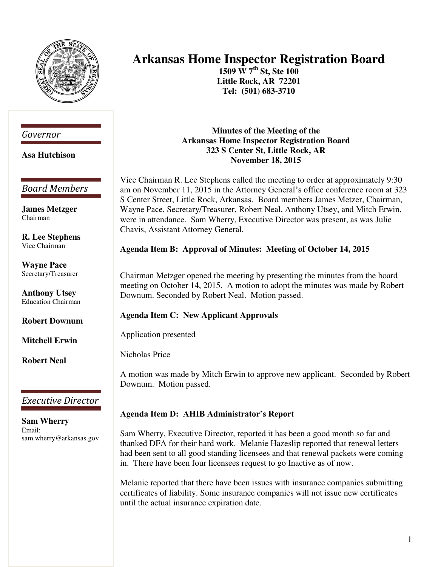

#### *Governor*

**Asa Hutchison** 

## *Board Members*

**James Metzger**  Chairman

**R. Lee Stephens**  Vice Chairman

**Wayne Pace**  Secretary/Treasurer

**Anthony Utsey**  Education Chairman

**Robert Downum** 

**Mitchell Erwin** 

**Robert Neal** 

# *Executive Director*

**Sam Wherry**  Email: sam.wherry@arkansas.gov

# **Arkansas Home Inspector Registration Board**

**1509**  $\hat{W}$  7<sup>th</sup> St, Ste 100 **Little Rock, AR 72201 Tel: (501) 683-3710** 

**Minutes of the Meeting of the Arkansas Home Inspector Registration Board 323 S Center St, Little Rock, AR November 18, 2015** 

Vice Chairman R. Lee Stephens called the meeting to order at approximately 9:30 am on November 11, 2015 in the Attorney General's office conference room at 323 S Center Street, Little Rock, Arkansas. Board members James Metzer, Chairman, Wayne Pace, Secretary/Treasurer, Robert Neal, Anthony Utsey, and Mitch Erwin, were in attendance. Sam Wherry, Executive Director was present, as was Julie Chavis, Assistant Attorney General.

## **Agenda Item B: Approval of Minutes: Meeting of October 14, 2015**

Chairman Metzger opened the meeting by presenting the minutes from the board meeting on October 14, 2015. A motion to adopt the minutes was made by Robert Downum. Seconded by Robert Neal. Motion passed.

## **Agenda Item C: New Applicant Approvals**

Application presented

Nicholas Price

A motion was made by Mitch Erwin to approve new applicant. Seconded by Robert Downum. Motion passed.

## **Agenda Item D: AHIB Administrator's Report**

Sam Wherry, Executive Director, reported it has been a good month so far and thanked DFA for their hard work. Melanie Hazeslip reported that renewal letters had been sent to all good standing licensees and that renewal packets were coming in. There have been four licensees request to go Inactive as of now.

Melanie reported that there have been issues with insurance companies submitting certificates of liability. Some insurance companies will not issue new certificates until the actual insurance expiration date.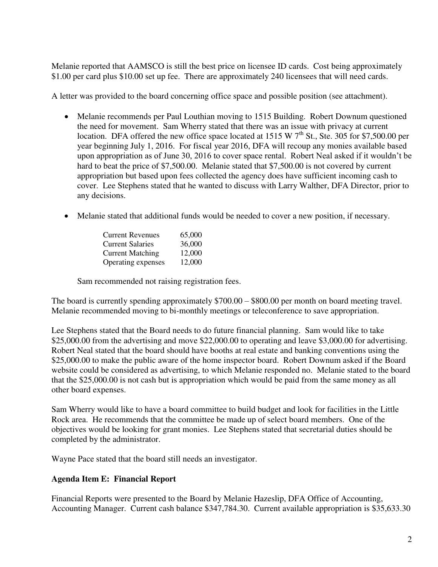Melanie reported that AAMSCO is still the best price on licensee ID cards. Cost being approximately \$1.00 per card plus \$10.00 set up fee. There are approximately 240 licensees that will need cards.

A letter was provided to the board concerning office space and possible position (see attachment).

- Melanie recommends per Paul Louthian moving to 1515 Building. Robert Downum questioned the need for movement. Sam Wherry stated that there was an issue with privacy at current location. DFA offered the new office space located at 1515 W  $7<sup>th</sup>$  St., Ste. 305 for \$7,500.00 per year beginning July 1, 2016. For fiscal year 2016, DFA will recoup any monies available based upon appropriation as of June 30, 2016 to cover space rental. Robert Neal asked if it wouldn't be hard to beat the price of \$7,500.00. Melanie stated that \$7,500.00 is not covered by current appropriation but based upon fees collected the agency does have sufficient incoming cash to cover. Lee Stephens stated that he wanted to discuss with Larry Walther, DFA Director, prior to any decisions.
- Melanie stated that additional funds would be needed to cover a new position, if necessary.

| <b>Current Revenues</b> | 65,000 |
|-------------------------|--------|
| <b>Current Salaries</b> | 36,000 |
| <b>Current Matching</b> | 12,000 |
| Operating expenses      | 12,000 |

Sam recommended not raising registration fees.

The board is currently spending approximately \$700.00 – \$800.00 per month on board meeting travel. Melanie recommended moving to bi-monthly meetings or teleconference to save appropriation.

Lee Stephens stated that the Board needs to do future financial planning. Sam would like to take \$25,000.00 from the advertising and move \$22,000.00 to operating and leave \$3,000.00 for advertising. Robert Neal stated that the board should have booths at real estate and banking conventions using the \$25,000.00 to make the public aware of the home inspector board. Robert Downum asked if the Board website could be considered as advertising, to which Melanie responded no. Melanie stated to the board that the \$25,000.00 is not cash but is appropriation which would be paid from the same money as all other board expenses.

Sam Wherry would like to have a board committee to build budget and look for facilities in the Little Rock area. He recommends that the committee be made up of select board members. One of the objectives would be looking for grant monies. Lee Stephens stated that secretarial duties should be completed by the administrator.

Wayne Pace stated that the board still needs an investigator.

#### **Agenda Item E: Financial Report**

Financial Reports were presented to the Board by Melanie Hazeslip, DFA Office of Accounting, Accounting Manager. Current cash balance \$347,784.30. Current available appropriation is \$35,633.30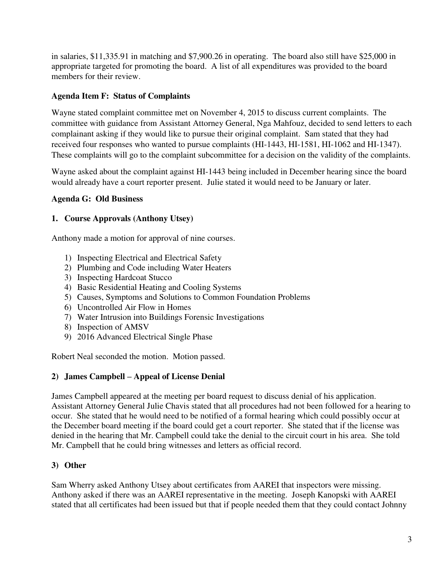in salaries, \$11,335.91 in matching and \$7,900.26 in operating. The board also still have \$25,000 in appropriate targeted for promoting the board. A list of all expenditures was provided to the board members for their review.

## **Agenda Item F: Status of Complaints**

Wayne stated complaint committee met on November 4, 2015 to discuss current complaints. The committee with guidance from Assistant Attorney General, Nga Mahfouz, decided to send letters to each complainant asking if they would like to pursue their original complaint. Sam stated that they had received four responses who wanted to pursue complaints (HI-1443, HI-1581, HI-1062 and HI-1347). These complaints will go to the complaint subcommittee for a decision on the validity of the complaints.

Wayne asked about the complaint against HI-1443 being included in December hearing since the board would already have a court reporter present. Julie stated it would need to be January or later.

#### **Agenda G: Old Business**

#### **1. Course Approvals (Anthony Utsey)**

Anthony made a motion for approval of nine courses.

- 1) Inspecting Electrical and Electrical Safety
- 2) Plumbing and Code including Water Heaters
- 3) Inspecting Hardcoat Stucco
- 4) Basic Residential Heating and Cooling Systems
- 5) Causes, Symptoms and Solutions to Common Foundation Problems
- 6) Uncontrolled Air Flow in Homes
- 7) Water Intrusion into Buildings Forensic Investigations
- 8) Inspection of AMSV
- 9) 2016 Advanced Electrical Single Phase

Robert Neal seconded the motion. Motion passed.

## **2) James Campbell – Appeal of License Denial**

James Campbell appeared at the meeting per board request to discuss denial of his application. Assistant Attorney General Julie Chavis stated that all procedures had not been followed for a hearing to occur. She stated that he would need to be notified of a formal hearing which could possibly occur at the December board meeting if the board could get a court reporter. She stated that if the license was denied in the hearing that Mr. Campbell could take the denial to the circuit court in his area. She told Mr. Campbell that he could bring witnesses and letters as official record.

## **3) Other**

Sam Wherry asked Anthony Utsey about certificates from AAREI that inspectors were missing. Anthony asked if there was an AAREI representative in the meeting. Joseph Kanopski with AAREI stated that all certificates had been issued but that if people needed them that they could contact Johnny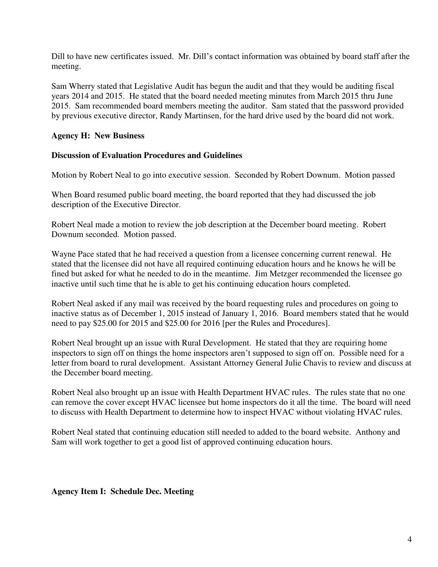Dill to have new certificates issued. Mr. Dill's contact information was obtained by board staff after the meeting.

Sam Wherry stated that Legislative Audit has begun the audit and that they would be auditing fiscal years 2014 and 2015. He stated that the board needed meeting minutes from March 2015 thru June 2015. Sam recommended board members meeting the auditor. Sam stated that the password provided by previous executive director, Randy Martinsen, for the hard drive used by the board did not work.

#### **Agency H: New Business**

#### **Discussion of Evaluation Procedures and Guidelines**

Motion by Robert Neal to go into executive session. Seconded by Robert Downum. Motion passed

When Board resumed public board meeting, the board reported that they had discussed the job description of the Executive Director.

Robert Neal made a motion to review the job description at the December board meeting. Robert Downum seconded. Motion passed.

Wayne Pace stated that he had received a question from a licensee concerning current renewal. He stated that the licensee did not have all required continuing education hours and he knows he will be fined but asked for what he needed to do in the meantime. Jim Metzger recommended the licensee go inactive until such time that he is able to get his continuing education hours completed.

Robert Neal asked if any mail was received by the board requesting rules and procedures on going to inactive status as of December 1, 2015 instead of January 1, 2016. Board members stated that he would need to pay \$25.00 for 2015 and \$25.00 for 2016 [per the Rules and Procedures].

Robert Neal brought up an issue with Rural Development. He stated that they are requiring home inspectors to sign off on things the home inspectors aren't supposed to sign off on. Possible need for a letter from board to rural development. Assistant Attorney General Julie Chavis to review and discuss at the December board meeting.

Robert Neal also brought up an issue with Health Department HVAC rules. The rules state that no one can remove the cover except HVAC licensee but home inspectors do it all the time. The board will need to discuss with Health Department to determine how to inspect HVAC without violating HVAC rules.

Robert Neal stated that continuing education still needed to added to the board website. Anthony and Sam will work together to get a good list of approved continuing education hours.

**Agency Item I: Schedule Dec. Meeting**